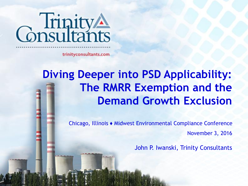

trinityconsultants.com

#### **Diving Deeper into PSD Applicability: The RMRR Exemption and the Demand Growth Exclusion**

Chicago, Illinois ♦ Midwest Environmental Compliance Conference November 3, 2016

John P. Iwanski, Trinity Consultants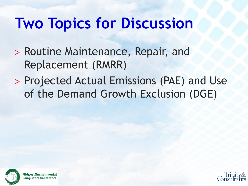### **Two Topics for Discussion**

- ˃ Routine Maintenance, Repair, and Replacement (RMRR)
- ˃ Projected Actual Emissions (PAE) and Use of the Demand Growth Exclusion (DGE)



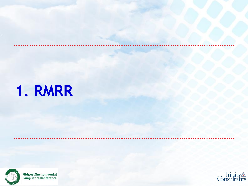### **1. RMRR**



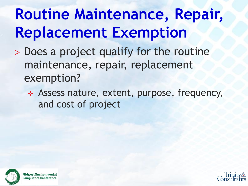# **Routine Maintenance, Repair, Replacement Exemption**

- ˃ Does a project qualify for the routine maintenance, repair, replacement exemption?
	- Assess nature, extent, purpose, frequency, and cost of project



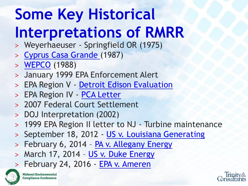# **Some Key Historical Interpretations of RMRR**

- ˃ Weyerhaeuser Springfield OR (1975)
- ˃ [Cyprus Casa Grande \(](https://www.epa.gov/sites/production/files/2015-07/documents/cyprusca.pdf)1987)
- ˃ [WEPCO](https://www.epa.gov/sites/production/files/2015-07/documents/wpco2.pdf) (1988)
- ˃ January 1999 EPA Enforcement Alert
- > EPA Region V [Detroit Edison Evaluation](https://www.epa.gov/sites/production/files/2015-07/documents/detedisn.pdf)
- > EPA Region IV [PCA Letter](https://www.epa.gov/sites/production/files/2015-07/documents/pca2001.pdf)
- ˃ 2007 Federal Court Settlement
- ˃ DOJ Interpretation (2002)
- > 1999 EPA Region II letter to NJ Turbine maintenance
- > September 18, 2012 [US v. Louisiana Generating](http://www.acoel.org/file.axd?file=2012/11/louisiana.pdf)
- > February 6, 2014 [PA v. Allegany Energy](http://www.lawandenvironment.com/wp-content/uploads/sites/5/2014/02/621.pdf)
- > March 17, 2014 [US v. Duke Energy](http://www.freshlawblog.com/files/2014/03/US-v-Duke-Energy-3-17-2014.pdf)
- > February 24, 2016 EPA v. Ameren



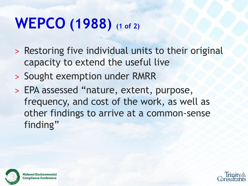### **WEPCO (1988) (1 of 2)**

- > Restoring five individual units to their original capacity to extend the useful live
- ˃ Sought exemption under RMRR
- ˃ EPA assessed "nature, extent, purpose, frequency, and cost of the work, as well as other findings to arrive at a common-sense finding"



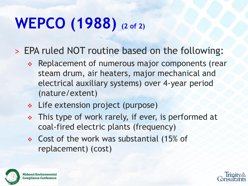# **WEPCO (1988) (2 of 2)**

˃ EPA ruled NOT routine based on the following:

- Replacement of numerous major components (rear steam drum, air heaters, major mechanical and electrical auxiliary systems) over 4-year period (nature/extent)
- Life extension project (purpose)
- This type of work rarely, if ever, is performed at coal-fired electric plants (frequency)
- Cost of the work was substantial (15% of replacement) (cost)





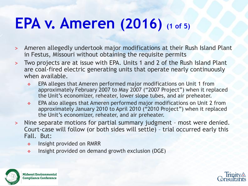### **EPA v. Ameren (2016) (1 of 5)**

- ˃ Ameren allegedly undertook major modifications at their Rush Island Plant in Festus, Missouri without obtaining the requisite permits
- ˃ Two projects are at issue with EPA. Units 1 and 2 of the Rush Island Plant are coal-fired electric generating units that operate nearly continuously when available.
	- EPA alleges that Ameren performed major modifications on Unit 1 from approximately February 2007 to May 2007 ("2007 Project") when it replaced the Unit's economizer, reheater, lower slope tubes, and air preheater.
	- EPA also alleges that Ameren performed major modifications on Unit 2 from approximately January 2010 to April 2010 ("2010 Project") when it replaced the Unit's economizer, reheater, and air preheater.
- ˃ Nine separate motions for partial summary judgment most were denied. Court-case will follow (or both sides will settle) – trial occurred early this Fall. But:
	- **Insight provided on RMRR**
	- $\cdot$  Insight provided on demand growth exclusion (DGE)





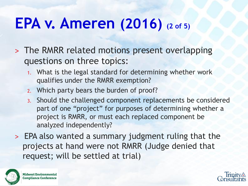### **EPA v. Ameren (2016) (2 of 5)**

- ˃ The RMRR related motions present overlapping questions on three topics:
	- 1. What is the legal standard for determining whether work qualifies under the RMRR exemption?
	- 2. Which party bears the burden of proof?
	- 3. Should the challenged component replacements be considered part of one "project" for purposes of determining whether a project is RMRR, or must each replaced component be analyzed independently?
- ˃ EPA also wanted a summary judgment ruling that the projects at hand were not RMRR (Judge denied that request; will be settled at trial)



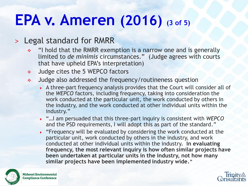### **EPA v. Ameren (2016) (3 of 5)**

#### > Legal standard for RMRR

- "I hold that the RMRR exemption is a narrow one and is generally limited to *de minimis* circumstances." (Judge agrees with courts that have upheld EPA's interpretation)
- Judge cites the 5 WEPCO factors
- Judge also addressed the frequency/routineness question
	- ♦ A three-part frequency analysis provides that the Court will consider all of the *WEPCO* factors, including frequency, taking into consideration the work conducted at the particular unit, the work conducted by others in the industry, and the work conducted at other individual units within the industry."
	- ♦ "…I am persuaded that this three-part inquiry is consistent with *WEPCO*  and the PSD requirements, I will adopt this as part of the standard."
	- $\cdot$  "Frequency will be evaluated by considering the work conducted at the particular unit, work conducted by others in the industry, and work conducted at other individual units within the industry. **In evaluating frequency, the most relevant inquiry is how often similar projects have been undertaken at particular units in the industry, not how many similar projects have been implemented industry wide."**



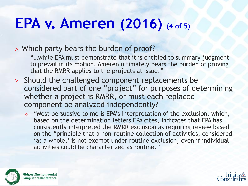### **EPA v. Ameren (2016) (4 of 5)**

#### ˃ Which party bears the burden of proof?

- \* "...while EPA must demonstrate that it is entitled to summary judgment to prevail in its motion, Ameren ultimately bears the burden of proving that the RMRR applies to the projects at issue."
- ˃ Should the challenged component replacements be considered part of one "project" for purposes of determining whether a project is RMRR, or must each replaced component be analyzed independently?
	- "Most persuasive to me is EPA's interpretation of the exclusion, which, based on the determination letters EPA cites, indicates that EPA has consistently interpreted the RMRR exclusion as requiring review based on the "principle that a non-routine collection of activities, considered 'as a whole,' is not exempt under routine exclusion, even if individual activities could be characterized as routine."



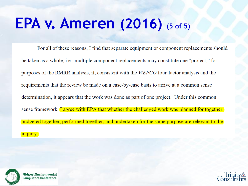### **EPA v. Ameren (2016) (5 of 5)**

For all of these reasons, I find that separate equipment or component replacements should be taken as a whole, i.e., multiple component replacements may constitute one "project," for purposes of the RMRR analysis, if, consistent with the WEPCO four-factor analysis and the requirements that the review be made on a case-by-case basis to arrive at a common sense determination, it appears that the work was done as part of one project. Under this common sense framework, I agree with EPA that whether the challenged work was planned for together, budgeted together, performed together, and undertaken for the same purpose are relevant to the inquiry.



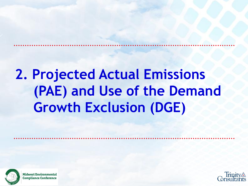### **2. Projected Actual Emissions (PAE) and Use of the Demand Growth Exclusion (DGE)**



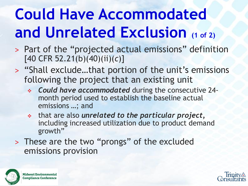# **Could Have Accommodated and Unrelated Exclusion** (1 of 2)

- ˃ Part of the "projected actual emissions" definition [40 CFR 52.21(b)(40)(ii)(*c*)]
- ˃ "Shall exclude…that portion of the unit's emissions following the project that an existing unit
	- *Could have accommodated* during the consecutive 24 month period used to establish the baseline actual emissions …; and
	- that are also *unrelated to the particular project,*  including increased utilization due to product demand growth"
- ˃ These are the two "prongs" of the excluded emissions provision



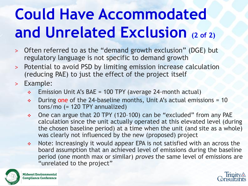# **Could Have Accommodated and Unrelated Exclusion (2 of 2)**

- ˃ Often referred to as the "demand growth exclusion" (DGE) but regulatory language is not specific to demand growth
- ˃ Potential to avoid PSD by limiting emission increase calculation (reducing PAE) to just the effect of the project itself
- > Example:
	- $\div$  Emission Unit A's BAE = 100 TPY (average 24-month actual)
	- $\div$  During one of the 24-baseline months, Unit A's actual emissions = 10 tons/mo (= 120 TPY annualized)
	- One can argue that 20 TPY (120–100) can be "excluded" from any PAE calculation since the unit actually operated at this elevated level (during the chosen baseline period) at a time when the unit (and site as a whole) was clearly not influenced by the new (proposed) project
	- Note: Increasingly it would appear EPA is not satisfied with an across the board assumption that an achieved level of emissions during the baseline period (one month max or similar) *proves* the same level of emissions are "unrelated to the project"



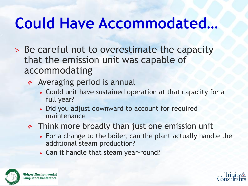### **Could Have Accommodated***…*

- ˃ Be careful not to overestimate the capacity that the emission unit was capable of accommodating
	- Averaging period is annual
		- ♦ Could unit have sustained operation at that capacity for a full year?
		- Did you adjust downward to account for required maintenance
	- Think more broadly than just one emission unit
		- $\bullet$  For a change to the boiler, can the plant actually handle the additional steam production?
		- Can it handle that steam year-round?



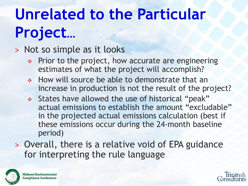# **Unrelated to the Particular Project***…*

#### ˃ Not so simple as it looks

- Prior to the project, how accurate are engineering estimates of what the project will accomplish?
- ◆ How will source be able to demonstrate that an increase in production is not the result of the project?
- \* States have allowed the use of historical "peak" actual emissions to establish the amount "excludable" in the projected actual emissions calculation (best if these emissions occur during the 24-month baseline period)
- ˃ Overall, there is a relative void of EPA guidance for interpreting the rule language



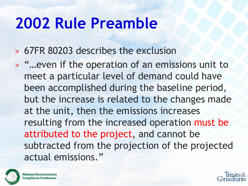### **2002 Rule Preamble**

˃ 67FR 80203 describes the exclusion

˃ "…even if the operation of an emissions unit to meet a particular level of demand could have been accomplished during the baseline period, but the increase is related to the changes made at the unit, then the emissions increases resulting from the increased operation must be attributed to the project, and cannot be subtracted from the projection of the projected actual emissions."



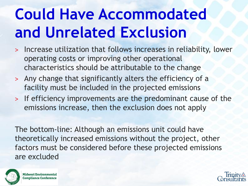# **Could Have Accommodated and Unrelated Exclusion**

- ˃ Increase utilization that follows increases in reliability, lower operating costs or improving other operational characteristics should be attributable to the change
- ˃ Any change that significantly alters the efficiency of a facility must be included in the projected emissions
- ˃ If efficiency improvements are the predominant cause of the emissions increase, then the exclusion does not apply

The bottom-line: Although an emissions unit could have theoretically increased emissions without the project, other factors must be considered before these projected emissions are excluded



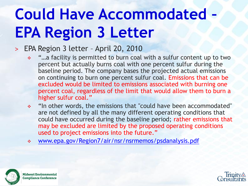# **Could Have Accommodated – EPA Region 3 Letter**

#### ˃ EPA Region 3 letter – April 20, 2010

- "…a facility is permitted to burn coal with a sulfur content up to two percent but actually burns coal with one percent sulfur during the baseline period. The company bases the projected actual emissions on continuing to burn one percent sulfur coal. Emissions that can be excluded would be limited to emissions associated with burning one percent coal, regardless of the limit that would allow them to burn a higher sulfur coal."
- "In other words, the emissions that "could have been accommodated" are not defined by all the many different operating conditions that could have occurred during the baseline period; rather emissions that may be excluded are limited by the proposed operating conditions used to project emissions into the future."
- [www.epa.gov/Region7/air/nsr/nsrmemos/psdanalysis.pdf](http://www.epa.gov/Region7/air/nsr/nsrmemos/psdanalysis.pdf)



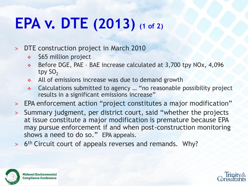# **EPA v. DTE (2013) (1 of 2)**

˃ DTE construction project in March 2010

- **↑ \$65 million project**
- Before DGE, PAE BAE increase calculated at 3,700 tpy NOx, 4,096 tpy  $SO<sub>2</sub>$
- All of emissions increase was due to demand growth
- Calculations submitted to agency … "no reasonable possibility project results in a significant emissions increase"
- > EPA enforcement action "project constitutes a major modification"
- ˃ Summary judgment, per district court, said "whether the projects at issue constitute a major modification is premature because EPA may pursue enforcement if and when post-construction monitoring shows a need to do so." EPA appeals.
- > 6<sup>th</sup> Circuit court of appeals reverses and remands. Why?





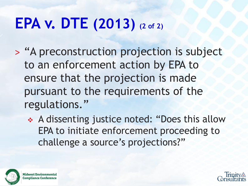# **EPA v. DTE (2013) (2 of 2)**

- ˃ "A preconstruction projection is subject to an enforcement action by EPA to ensure that the projection is made pursuant to the requirements of the regulations."
	- A dissenting justice noted: "Does this allow EPA to initiate enforcement proceeding to challenge a source's projections?"



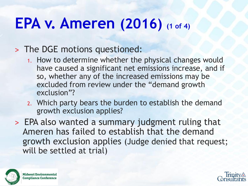### **EPA v. Ameren (2016) (1 of 4)**

#### ˃ The DGE motions questioned:

- 1. How to determine whether the physical changes would have caused a significant net emissions increase, and if so, whether any of the increased emissions may be excluded from review under the "demand growth exclusion"?
- 2. Which party bears the burden to establish the demand growth exclusion applies?
- ˃ EPA also wanted a summary judgment ruling that Ameren has failed to establish that the demand growth exclusion applies (Judge denied that request; will be settled at trial)



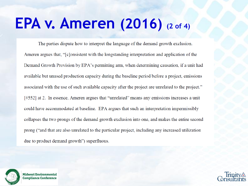### **EPA v. Ameren (2016) (2 of 4)**

The parties dispute how to interpret the language of the demand growth exclusion. Ameren argues that, "[c]onsistent with the longstanding interpretation and application of the Demand Growth Provision by EPA's permitting arm, when determining causation, if a unit had available but unused production capacity during the baseline period before a project, emissions associated with the use of such available capacity after the project are unrelated to the project." [#552] at 2. In essence, Ameren argues that "unrelated" means any emissions increases a unit could have accommodated at baseline. EPA argues that such an interpretation impermissibly collapses the two prongs of the demand growth exclusion into one, and makes the entire second prong ("and that are also unrelated to the particular project, including any increased utilization due to product demand growth") superfluous.



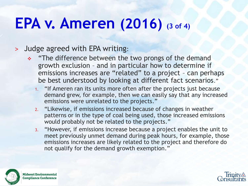### **EPA v. Ameren (2016) (3 of 4)**

#### ˃ Judge agreed with EPA writing:

- \* "The difference between the two prongs of the demand growth exclusion – and in particular how to determine if emissions increases are "related" to a project – can perhaps be best understood by looking at different fact scenarios."
	- 1. "If Ameren ran its units more often after the projects just because demand grew, for example, then we can easily say that any increased emissions were unrelated to the projects."
	- 2. "Likewise, if emissions increased because of changes in weather patterns or in the type of coal being used, those increased emissions would probably not be related to the projects."
	- 3. "However, if emissions increase because a project enables the unit to meet previously unmet demand during peak hours, for example, those emissions increases are likely related to the project and therefore do not qualify for the demand growth exemption."



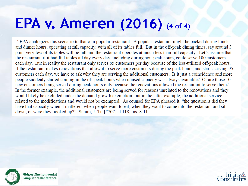### **EPA v. Ameren (2016) (4 of 4)**

<sup>17</sup> EPA analogizes this scenario to that of a popular restaurant. A popular restaurant might be packed during lunch and dinner hours, operating at full capacity, with all of its tables full. But in the off-peak dining times, say around 3 p.m., very few of its tables will be full and the restaurant operates at much less than full capacity. Let's assume that the restaurant, if it had full tables all day every day, including during non-peak hours, could serve 100 customers each day. But in reality the restaurant only serves 85 customers per day because of the less-utilized off-peak hours. If the restaurant makes renovations that allow it to serve more customers during the peak hours, and starts serving 95 customers each day, we have to ask why they are serving the additional customers. Is it just a coincidence and more people suddenly started coming in the off-peak hours when unused capacity was always available? Or are those 10 new customers being served during peak hours only because the renovations allowed the restaurant to serve them? In the former example, the additional customers are being served for reasons unrelated to the renovations and they would likely be excluded under the demand growth exemption; but in the latter example, the additional service is related to the modifications and would not be exempted. As counsel for EPA phrased it, "the question is did they have that capacity when it mattered, when people want to eat, when they want to come into the restaurant and sit down; or were they booked up?" Summ, J. Tr. [#707] at 118, lns. 8-11.



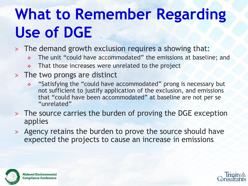# **What to Remember Regarding Use of DGE**

- ˃ The demand growth exclusion requires a showing that:
	- \* The unit "could have accommodated" the emissions at baseline; and
	- That those increases were unrelated to the project
- ˃ The two prongs are distinct
	- "Satisfying the "could have accommodated" prong is necessary but not sufficient to justify application of the exclusion, and emissions that "could have been accommodated" at baseline are not per se "unrelated"
- ˃ The source carries the burden of proving the DGE exception applies
- ˃ Agency retains the burden to prove the source should have expected the projects to cause an increase in emissions